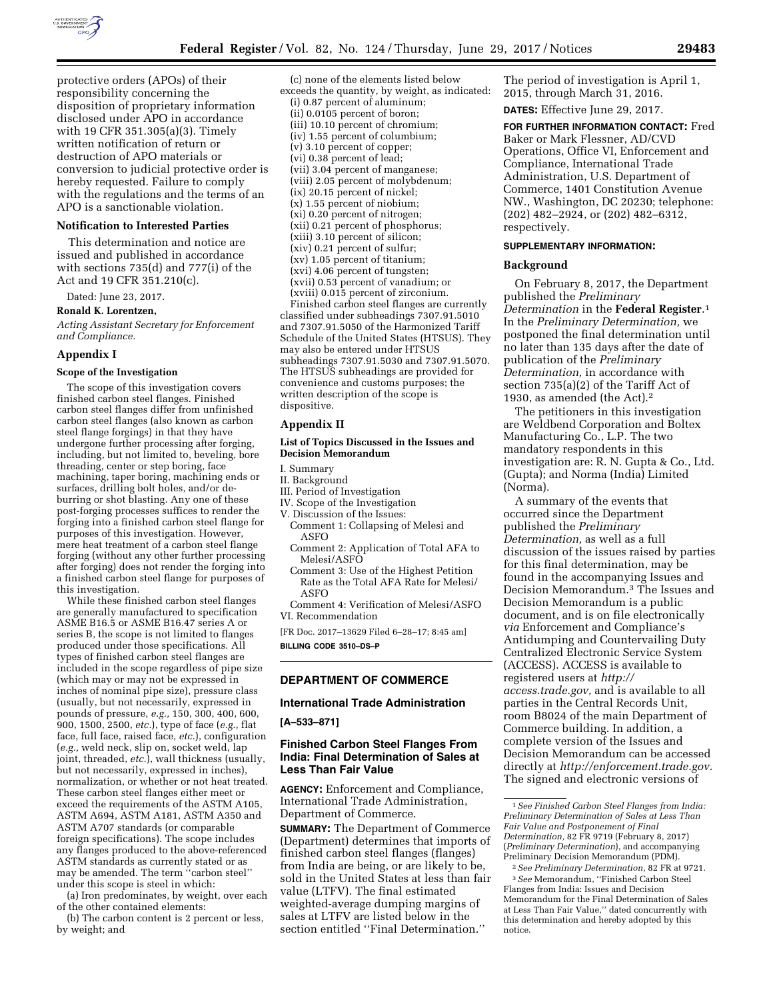

protective orders (APOs) of their responsibility concerning the disposition of proprietary information disclosed under APO in accordance with 19 CFR 351.305(a)(3). Timely written notification of return or destruction of APO materials or conversion to judicial protective order is hereby requested. Failure to comply with the regulations and the terms of an APO is a sanctionable violation.

#### **Notification to Interested Parties**

This determination and notice are issued and published in accordance with sections 735(d) and 777(i) of the Act and 19 CFR 351.210(c).

Dated: June 23, 2017.

# **Ronald K. Lorentzen,**

*Acting Assistant Secretary for Enforcement and Compliance.* 

#### **Appendix I**

#### **Scope of the Investigation**

The scope of this investigation covers finished carbon steel flanges. Finished carbon steel flanges differ from unfinished carbon steel flanges (also known as carbon steel flange forgings) in that they have undergone further processing after forging, including, but not limited to, beveling, bore threading, center or step boring, face machining, taper boring, machining ends or surfaces, drilling bolt holes, and/or deburring or shot blasting. Any one of these post-forging processes suffices to render the forging into a finished carbon steel flange for purposes of this investigation. However, mere heat treatment of a carbon steel flange forging (without any other further processing after forging) does not render the forging into a finished carbon steel flange for purposes of this investigation.

While these finished carbon steel flanges are generally manufactured to specification ASME B16.5 or ASME B16.47 series A or series B, the scope is not limited to flanges produced under those specifications. All types of finished carbon steel flanges are included in the scope regardless of pipe size (which may or may not be expressed in inches of nominal pipe size), pressure class (usually, but not necessarily, expressed in pounds of pressure, *e.g.,* 150, 300, 400, 600, 900, 1500, 2500, *etc.*), type of face (*e.g.,* flat face, full face, raised face, *etc.*), configuration (*e.g.,* weld neck, slip on, socket weld, lap joint, threaded, *etc.*), wall thickness (usually, but not necessarily, expressed in inches), normalization, or whether or not heat treated. These carbon steel flanges either meet or exceed the requirements of the ASTM A105, ASTM A694, ASTM A181, ASTM A350 and ASTM A707 standards (or comparable foreign specifications). The scope includes any flanges produced to the above-referenced ASTM standards as currently stated or as may be amended. The term ''carbon steel'' under this scope is steel in which:

(a) Iron predominates, by weight, over each of the other contained elements:

(b) The carbon content is 2 percent or less, by weight; and

(c) none of the elements listed below exceeds the quantity, by weight, as indicated: (i) 0.87 percent of aluminum; (ii) 0.0105 percent of boron; (iii) 10.10 percent of chromium; (iv) 1.55 percent of columbium; (v) 3.10 percent of copper; (vi) 0.38 percent of lead; (vii) 3.04 percent of manganese; (viii) 2.05 percent of molybdenum; (ix) 20.15 percent of nickel; (x) 1.55 percent of niobium; (xi) 0.20 percent of nitrogen; (xii) 0.21 percent of phosphorus; (xiii) 3.10 percent of silicon; (xiv) 0.21 percent of sulfur; (xv) 1.05 percent of titanium; (xvi) 4.06 percent of tungsten; (xvii) 0.53 percent of vanadium; or (xviii) 0.015 percent of zirconium.

Finished carbon steel flanges are currently classified under subheadings 7307.91.5010 and 7307.91.5050 of the Harmonized Tariff Schedule of the United States (HTSUS). They may also be entered under HTSUS subheadings 7307.91.5030 and 7307.91.5070. The HTSUS subheadings are provided for convenience and customs purposes; the written description of the scope is dispositive.

### **Appendix II**

## **List of Topics Discussed in the Issues and Decision Memorandum**

I. Summary

- II. Background
- III. Period of Investigation
- IV. Scope of the Investigation V. Discussion of the Issues:
- Comment 1: Collapsing of Melesi and ASFO
- Comment 2: Application of Total AFA to Melesi/ASFO
- Comment 3: Use of the Highest Petition Rate as the Total AFA Rate for Melesi/ ASFO
- Comment 4: Verification of Melesi/ASFO VI. Recommendation

[FR Doc. 2017–13629 Filed 6–28–17; 8:45 am] **BILLING CODE 3510–DS–P** 

# **DEPARTMENT OF COMMERCE**

#### **International Trade Administration**

**[A–533–871]** 

# **Finished Carbon Steel Flanges From India: Final Determination of Sales at Less Than Fair Value**

**AGENCY:** Enforcement and Compliance, International Trade Administration, Department of Commerce.

**SUMMARY:** The Department of Commerce (Department) determines that imports of finished carbon steel flanges (flanges) from India are being, or are likely to be, sold in the United States at less than fair value (LTFV). The final estimated weighted-average dumping margins of sales at LTFV are listed below in the section entitled ''Final Determination.''

The period of investigation is April 1, 2015, through March 31, 2016.

**DATES:** Effective June 29, 2017.

**FOR FURTHER INFORMATION CONTACT:** Fred Baker or Mark Flessner, AD/CVD Operations, Office VI, Enforcement and Compliance, International Trade Administration, U.S. Department of Commerce, 1401 Constitution Avenue NW., Washington, DC 20230; telephone: (202) 482–2924, or (202) 482–6312, respectively.

# **SUPPLEMENTARY INFORMATION:**

#### **Background**

On February 8, 2017, the Department published the *Preliminary Determination* in the **Federal Register**.1 In the *Preliminary Determination,* we postponed the final determination until no later than 135 days after the date of publication of the *Preliminary Determination,* in accordance with section 735(a)(2) of the Tariff Act of 1930, as amended (the Act).2

The petitioners in this investigation are Weldbend Corporation and Boltex Manufacturing Co., L.P. The two mandatory respondents in this investigation are: R. N. Gupta & Co., Ltd. (Gupta); and Norma (India) Limited (Norma).

A summary of the events that occurred since the Department published the *Preliminary Determination,* as well as a full discussion of the issues raised by parties for this final determination, may be found in the accompanying Issues and Decision Memorandum.3 The Issues and Decision Memorandum is a public document, and is on file electronically *via* Enforcement and Compliance's Antidumping and Countervailing Duty Centralized Electronic Service System (ACCESS). ACCESS is available to registered users at *[http://](http://access.trade.gov) [access.trade.gov,](http://access.trade.gov)* and is available to all parties in the Central Records Unit, room B8024 of the main Department of Commerce building. In addition, a complete version of the Issues and Decision Memorandum can be accessed directly at *[http://enforcement.trade.gov.](http://enforcement.trade.gov)*  The signed and electronic versions of

<sup>1</sup>*See Finished Carbon Steel Flanges from India: Preliminary Determination of Sales at Less Than Fair Value and Postponement of Final Determination,* 82 FR 9719 (February 8, 2017) (*Preliminary Determination*), and accompanying Preliminary Decision Memorandum (PDM).

<sup>2</sup>*See Preliminary Determination,* 82 FR at 9721. 3*See* Memorandum, ''Finished Carbon Steel Flanges from India: Issues and Decision Memorandum for the Final Determination of Sales at Less Than Fair Value,'' dated concurrently with this determination and hereby adopted by this notice.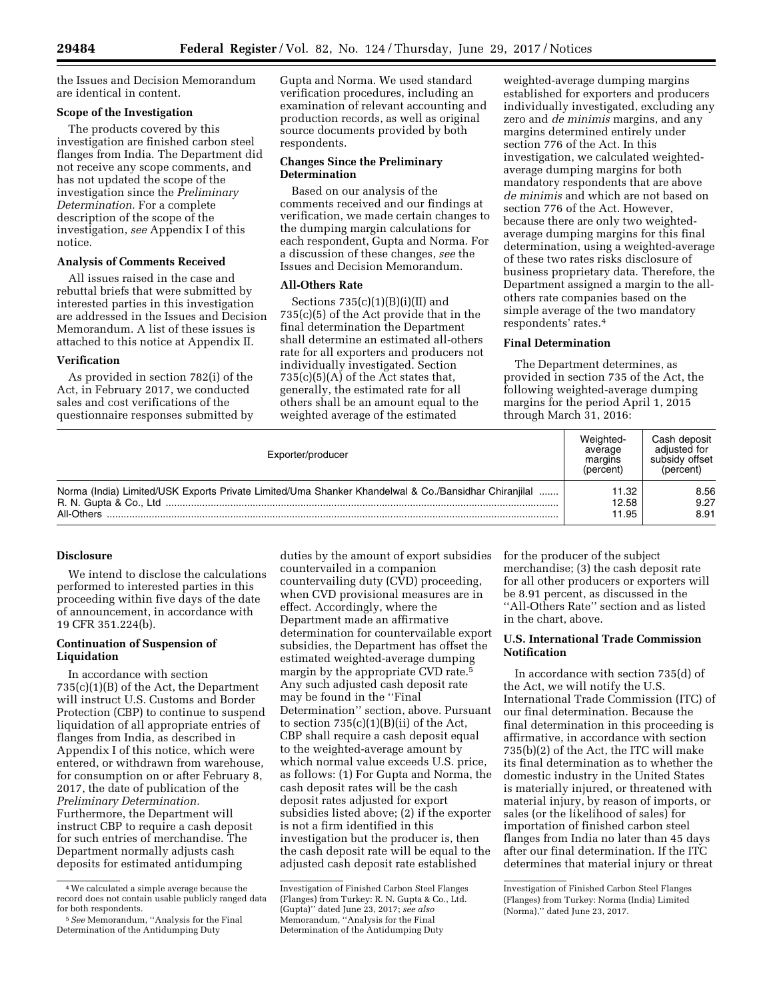the Issues and Decision Memorandum are identical in content.

# **Scope of the Investigation**

The products covered by this investigation are finished carbon steel flanges from India. The Department did not receive any scope comments, and has not updated the scope of the investigation since the *Preliminary Determination.* For a complete description of the scope of the investigation, *see* Appendix I of this notice.

# **Analysis of Comments Received**

All issues raised in the case and rebuttal briefs that were submitted by interested parties in this investigation are addressed in the Issues and Decision Memorandum. A list of these issues is attached to this notice at Appendix II.

#### **Verification**

As provided in section 782(i) of the Act, in February 2017, we conducted sales and cost verifications of the questionnaire responses submitted by Gupta and Norma. We used standard verification procedures, including an examination of relevant accounting and production records, as well as original source documents provided by both respondents.

### **Changes Since the Preliminary Determination**

Based on our analysis of the comments received and our findings at verification, we made certain changes to the dumping margin calculations for each respondent, Gupta and Norma. For a discussion of these changes, *see* the Issues and Decision Memorandum.

## **All-Others Rate**

Sections  $735(c)(1)(B)(i)(II)$  and 735(c)(5) of the Act provide that in the final determination the Department shall determine an estimated all-others rate for all exporters and producers not individually investigated. Section  $735(c)(5)(A)$  of the Act states that, generally, the estimated rate for all others shall be an amount equal to the weighted average of the estimated

weighted-average dumping margins established for exporters and producers individually investigated, excluding any zero and *de minimis* margins, and any margins determined entirely under section 776 of the Act. In this investigation, we calculated weightedaverage dumping margins for both mandatory respondents that are above *de minimis* and which are not based on section 776 of the Act. However, because there are only two weightedaverage dumping margins for this final determination, using a weighted-average of these two rates risks disclosure of business proprietary data. Therefore, the Department assigned a margin to the allothers rate companies based on the simple average of the two mandatory respondents' rates.4

## **Final Determination**

The Department determines, as provided in section 735 of the Act, the following weighted-average dumping margins for the period April 1, 2015 through March 31, 2016:

| Exporter/producer                                                                                                                            | Weighted-<br>average<br>margins<br>(percent) | Cash deposit<br>adiusted for<br>subsidy offset<br>(percent) |
|----------------------------------------------------------------------------------------------------------------------------------------------|----------------------------------------------|-------------------------------------------------------------|
| Norma (India) Limited/USK Exports Private Limited/Uma Shanker Khandelwal & Co./Bansidhar Chiranjilal<br>R. N. Gupta & Co., Ltd<br>All-Others | 11.32<br>12.58<br>11.95                      | 8.56<br>9.27<br>8.91                                        |

## **Disclosure**

We intend to disclose the calculations performed to interested parties in this proceeding within five days of the date of announcement, in accordance with 19 CFR 351.224(b).

# **Continuation of Suspension of Liquidation**

In accordance with section 735(c)(1)(B) of the Act, the Department will instruct U.S. Customs and Border Protection (CBP) to continue to suspend liquidation of all appropriate entries of flanges from India, as described in Appendix I of this notice, which were entered, or withdrawn from warehouse, for consumption on or after February 8, 2017, the date of publication of the *Preliminary Determination.*  Furthermore, the Department will instruct CBP to require a cash deposit for such entries of merchandise. The Department normally adjusts cash deposits for estimated antidumping

duties by the amount of export subsidies countervailed in a companion countervailing duty (CVD) proceeding, when CVD provisional measures are in effect. Accordingly, where the Department made an affirmative determination for countervailable export subsidies, the Department has offset the estimated weighted-average dumping margin by the appropriate CVD rate.5 Any such adjusted cash deposit rate may be found in the ''Final Determination'' section, above. Pursuant to section  $735(c)(1)(B)(ii)$  of the Act, CBP shall require a cash deposit equal to the weighted-average amount by which normal value exceeds U.S. price, as follows: (1) For Gupta and Norma, the cash deposit rates will be the cash deposit rates adjusted for export subsidies listed above; (2) if the exporter is not a firm identified in this investigation but the producer is, then the cash deposit rate will be equal to the adjusted cash deposit rate established

for the producer of the subject merchandise; (3) the cash deposit rate for all other producers or exporters will be 8.91 percent, as discussed in the ''All-Others Rate'' section and as listed in the chart, above.

# **U.S. International Trade Commission Notification**

In accordance with section 735(d) of the Act, we will notify the U.S. International Trade Commission (ITC) of our final determination. Because the final determination in this proceeding is affirmative, in accordance with section 735(b)(2) of the Act, the ITC will make its final determination as to whether the domestic industry in the United States is materially injured, or threatened with material injury, by reason of imports, or sales (or the likelihood of sales) for importation of finished carbon steel flanges from India no later than 45 days after our final determination. If the ITC determines that material injury or threat

<sup>4</sup>We calculated a simple average because the record does not contain usable publicly ranged data for both respondents.

<sup>5</sup>*See* Memorandum, ''Analysis for the Final Determination of the Antidumping Duty

Investigation of Finished Carbon Steel Flanges (Flanges) from Turkey: R. N. Gupta & Co., Ltd. (Gupta)'' dated June 23, 2017; *see also*  Memorandum, ''Analysis for the Final Determination of the Antidumping Duty

Investigation of Finished Carbon Steel Flanges (Flanges) from Turkey: Norma (India) Limited (Norma),'' dated June 23, 2017.